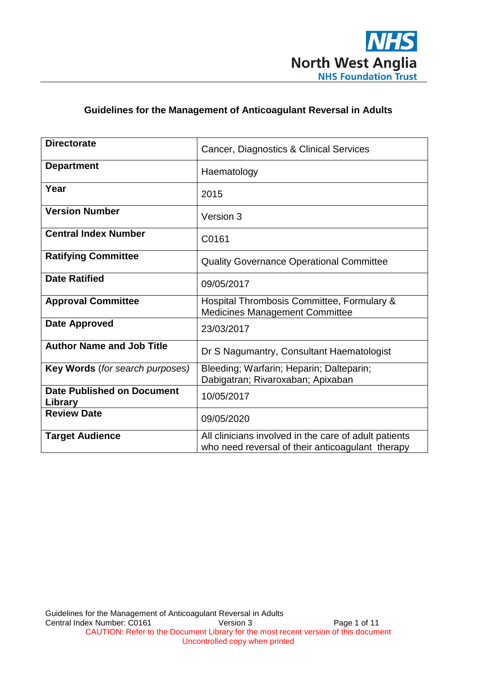

# **Guidelines for the Management of Anticoagulant Reversal in Adults**

| <b>Directorate</b>                           | Cancer, Diagnostics & Clinical Services                                                                   |
|----------------------------------------------|-----------------------------------------------------------------------------------------------------------|
| <b>Department</b>                            | Haematology                                                                                               |
| Year                                         | 2015                                                                                                      |
| <b>Version Number</b>                        | Version 3                                                                                                 |
| <b>Central Index Number</b>                  | C0161                                                                                                     |
| <b>Ratifying Committee</b>                   | <b>Quality Governance Operational Committee</b>                                                           |
| <b>Date Ratified</b>                         | 09/05/2017                                                                                                |
| <b>Approval Committee</b>                    | Hospital Thrombosis Committee, Formulary &<br><b>Medicines Management Committee</b>                       |
| <b>Date Approved</b>                         | 23/03/2017                                                                                                |
| <b>Author Name and Job Title</b>             | Dr S Nagumantry, Consultant Haematologist                                                                 |
| Key Words (for search purposes)              | Bleeding; Warfarin; Heparin; Dalteparin;<br>Dabigatran; Rivaroxaban; Apixaban                             |
| <b>Date Published on Document</b><br>Library | 10/05/2017                                                                                                |
| <b>Review Date</b>                           | 09/05/2020                                                                                                |
| <b>Target Audience</b>                       | All clinicians involved in the care of adult patients<br>who need reversal of their anticoagulant therapy |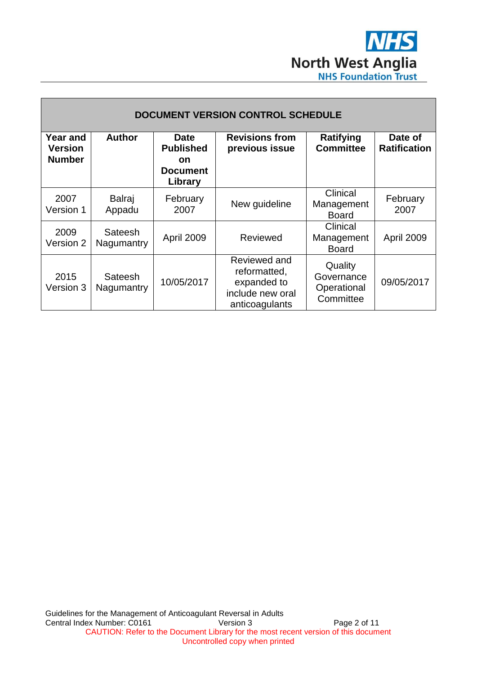

| <b>DOCUMENT VERSION CONTROL SCHEDULE</b>           |                              |                                                                            |                                                                                   |                                                   |                                |
|----------------------------------------------------|------------------------------|----------------------------------------------------------------------------|-----------------------------------------------------------------------------------|---------------------------------------------------|--------------------------------|
| <b>Year and</b><br><b>Version</b><br><b>Number</b> | <b>Author</b>                | <b>Date</b><br><b>Published</b><br><b>on</b><br><b>Document</b><br>Library | <b>Revisions from</b><br>previous issue                                           | Ratifying<br><b>Committee</b>                     | Date of<br><b>Ratification</b> |
| 2007<br>Version 1                                  | <b>Balraj</b><br>Appadu      | February<br>2007                                                           | New guideline                                                                     | Clinical<br>Management<br><b>Board</b>            | February<br>2007               |
| 2009<br>Version 2                                  | Sateesh<br>Nagumantry        | April 2009                                                                 | Reviewed                                                                          | Clinical<br>Management<br><b>Board</b>            | April 2009                     |
| 2015<br>Version 3                                  | <b>Sateesh</b><br>Nagumantry | 10/05/2017                                                                 | Reviewed and<br>reformatted,<br>expanded to<br>include new oral<br>anticoagulants | Quality<br>Governance<br>Operational<br>Committee | 09/05/2017                     |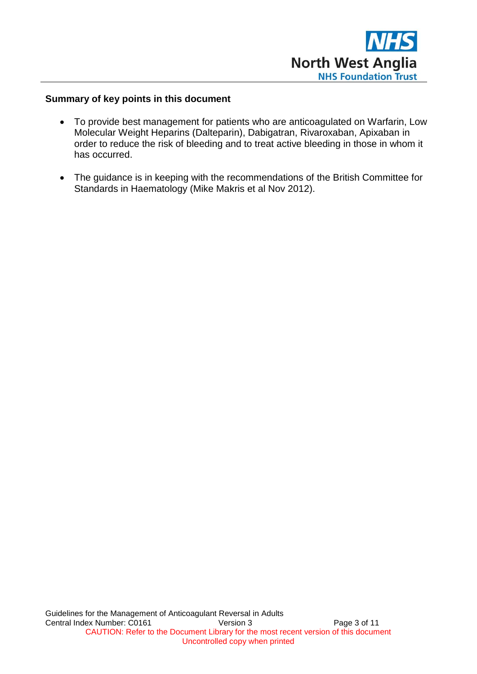

# **Summary of key points in this document**

- To provide best management for patients who are anticoagulated on Warfarin, Low Molecular Weight Heparins (Dalteparin), Dabigatran, Rivaroxaban, Apixaban in order to reduce the risk of bleeding and to treat active bleeding in those in whom it has occurred.
- The guidance is in keeping with the recommendations of the British Committee for Standards in Haematology (Mike Makris et al Nov 2012).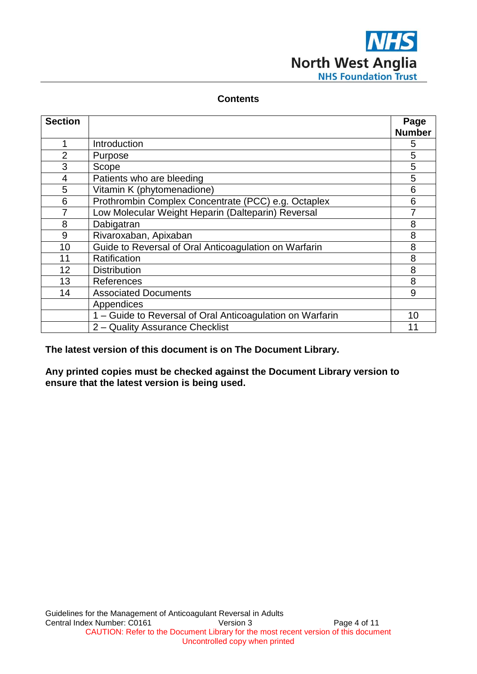

# **Contents**

| <b>Section</b> |                                                           | Page          |
|----------------|-----------------------------------------------------------|---------------|
|                |                                                           | <b>Number</b> |
| 1              | Introduction                                              | 5             |
| $\overline{2}$ | Purpose                                                   | 5             |
| 3              | Scope                                                     | 5             |
| $\overline{4}$ | Patients who are bleeding                                 | 5             |
| 5              | Vitamin K (phytomenadione)                                | 6             |
| 6              | Prothrombin Complex Concentrate (PCC) e.g. Octaplex       | 6             |
| 7              | Low Molecular Weight Heparin (Dalteparin) Reversal        |               |
| 8              | Dabigatran                                                | 8             |
| 9              | Rivaroxaban, Apixaban                                     | 8             |
| 10             | Guide to Reversal of Oral Anticoagulation on Warfarin     | 8             |
| 11             | Ratification                                              | 8             |
| 12             | <b>Distribution</b>                                       | 8             |
| 13             | References                                                | 8             |
| 14             | <b>Associated Documents</b>                               | 9             |
|                | Appendices                                                |               |
|                | 1 – Guide to Reversal of Oral Anticoagulation on Warfarin | 10            |
|                | 2 - Quality Assurance Checklist                           | 11            |

**The latest version of this document is on The Document Library.**

**Any printed copies must be checked against the Document Library version to ensure that the latest version is being used.**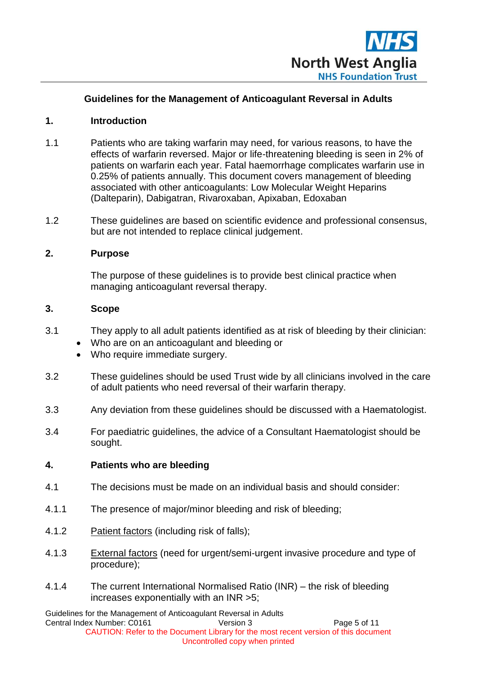

# **Guidelines for the Management of Anticoagulant Reversal in Adults**

#### **1. Introduction**

- 1.1 Patients who are taking warfarin may need, for various reasons, to have the effects of warfarin reversed. Major or life-threatening bleeding is seen in 2% of patients on warfarin each year. Fatal haemorrhage complicates warfarin use in 0.25% of patients annually. This document covers management of bleeding associated with other anticoagulants: Low Molecular Weight Heparins (Dalteparin), Dabigatran, Rivaroxaban, Apixaban, Edoxaban
- 1.2 These guidelines are based on scientific evidence and professional consensus, but are not intended to replace clinical judgement.

#### **2. Purpose**

The purpose of these guidelines is to provide best clinical practice when managing anticoagulant reversal therapy.

#### **3. Scope**

- 3.1 They apply to all adult patients identified as at risk of bleeding by their clinician:
	- Who are on an anticoagulant and bleeding or
	- Who require immediate surgery.
- 3.2 These guidelines should be used Trust wide by all clinicians involved in the care of adult patients who need reversal of their warfarin therapy.
- 3.3 Any deviation from these guidelines should be discussed with a Haematologist.
- 3.4 For paediatric guidelines, the advice of a Consultant Haematologist should be sought.

#### **4. Patients who are bleeding**

- 4.1 The decisions must be made on an individual basis and should consider:
- 4.1.1 The presence of major/minor bleeding and risk of bleeding;
- 4.1.2 Patient factors (including risk of falls);
- 4.1.3 External factors (need for urgent/semi-urgent invasive procedure and type of procedure);
- 4.1.4 The current International Normalised Ratio (INR) the risk of bleeding increases exponentially with an INR >5;

Guidelines for the Management of Anticoagulant Reversal in Adults Central Index Number: C0161 Version 3 Page 5 of 11 CAUTION: Refer to the Document Library for the most recent version of this document Uncontrolled copy when printed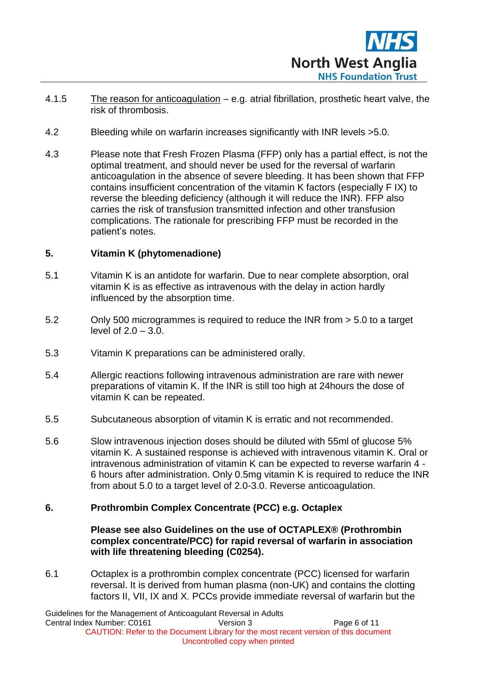

- 4.1.5 The reason for anticoagulation e.g. atrial fibrillation, prosthetic heart valve, the risk of thrombosis.
- 4.2 Bleeding while on warfarin increases significantly with INR levels >5.0.
- 4.3 Please note that Fresh Frozen Plasma (FFP) only has a partial effect, is not the optimal treatment, and should never be used for the reversal of warfarin anticoagulation in the absence of severe bleeding. It has been shown that FFP contains insufficient concentration of the vitamin K factors (especially F IX) to reverse the bleeding deficiency (although it will reduce the INR). FFP also carries the risk of transfusion transmitted infection and other transfusion complications. The rationale for prescribing FFP must be recorded in the patient's notes.

# **5. Vitamin K (phytomenadione)**

- 5.1 Vitamin K is an antidote for warfarin. Due to near complete absorption, oral vitamin K is as effective as intravenous with the delay in action hardly influenced by the absorption time.
- 5.2 Only 500 microgrammes is required to reduce the INR from > 5.0 to a target level of 2.0 – 3.0.
- 5.3 Vitamin K preparations can be administered orally.
- 5.4 Allergic reactions following intravenous administration are rare with newer preparations of vitamin K. If the INR is still too high at 24hours the dose of vitamin K can be repeated.
- 5.5 Subcutaneous absorption of vitamin K is erratic and not recommended.
- 5.6 Slow intravenous injection doses should be diluted with 55ml of glucose 5% vitamin K. A sustained response is achieved with intravenous vitamin K. Oral or intravenous administration of vitamin K can be expected to reverse warfarin 4 - 6 hours after administration. Only 0.5mg vitamin K is required to reduce the INR from about 5.0 to a target level of 2.0-3.0. Reverse anticoagulation.

# **6. Prothrombin Complex Concentrate (PCC) e.g. Octaplex**

**Please see also Guidelines on the use of OCTAPLEX® (Prothrombin complex concentrate/PCC) for rapid reversal of warfarin in association with life threatening bleeding (C0254).**

6.1 Octaplex is a prothrombin complex concentrate (PCC) licensed for warfarin reversal. It is derived from human plasma (non-UK) and contains the clotting factors II, VII, IX and X. PCCs provide immediate reversal of warfarin but the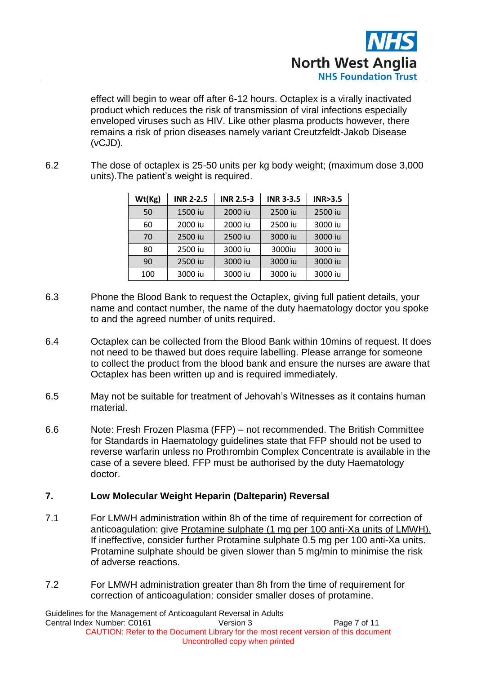

effect will begin to wear off after 6-12 hours. Octaplex is a virally inactivated product which reduces the risk of transmission of viral infections especially enveloped viruses such as HIV. Like other plasma products however, there remains a risk of prion diseases namely variant Creutzfeldt-Jakob Disease (vCJD).

6.2 The dose of octaplex is 25-50 units per kg body weight; (maximum dose 3,000 units).The patient's weight is required.

| Wt(Kg) | <b>INR 2-2.5</b> | <b>INR 2.5-3</b> | <b>INR 3-3.5</b> | INR > 3.5 |
|--------|------------------|------------------|------------------|-----------|
| 50     | 1500 iu          | 2000 iu          | 2500 iu          | 2500 iu   |
| 60     | 2000 iu          | 2000 iu          | 2500 iu          | 3000 iu   |
| 70     | 2500 iu          | 2500 iu          | 3000 iu          | 3000 iu   |
| 80     | 2500 iu          | 3000 iu          | 3000iu           | 3000 iu   |
| 90     | 2500 iu          | 3000 iu          | 3000 iu          | 3000 iu   |
| 100    | 3000 iu          | 3000 iu          | 3000 iu          | 3000 iu   |

- 6.3 Phone the Blood Bank to request the Octaplex, giving full patient details, your name and contact number, the name of the duty haematology doctor you spoke to and the agreed number of units required.
- 6.4 Octaplex can be collected from the Blood Bank within 10mins of request. It does not need to be thawed but does require labelling. Please arrange for someone to collect the product from the blood bank and ensure the nurses are aware that Octaplex has been written up and is required immediately.
- 6.5 May not be suitable for treatment of Jehovah's Witnesses as it contains human material.
- 6.6 Note: Fresh Frozen Plasma (FFP) not recommended. The British Committee for Standards in Haematology guidelines state that FFP should not be used to reverse warfarin unless no Prothrombin Complex Concentrate is available in the case of a severe bleed. FFP must be authorised by the duty Haematology doctor.

# **7. Low Molecular Weight Heparin (Dalteparin) Reversal**

- 7.1 For LMWH administration within 8h of the time of requirement for correction of anticoagulation: give Protamine sulphate (1 mg per 100 anti-Xa units of LMWH). If ineffective, consider further Protamine sulphate 0.5 mg per 100 anti-Xa units. Protamine sulphate should be given slower than 5 mg/min to minimise the risk of adverse reactions.
- 7.2 For LMWH administration greater than 8h from the time of requirement for correction of anticoagulation: consider smaller doses of protamine.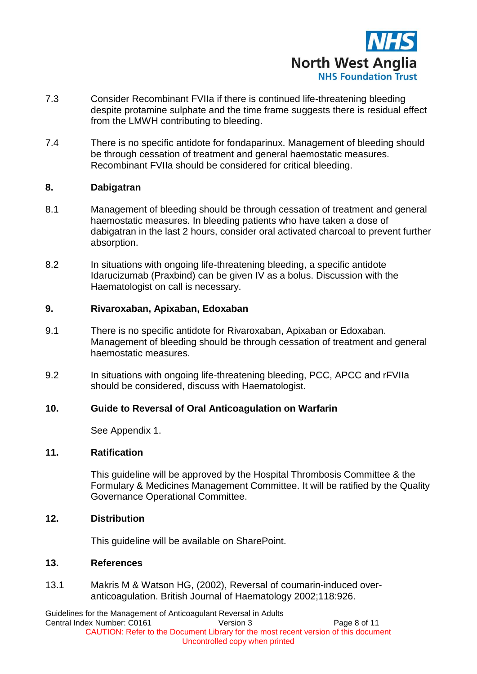

- 7.3 Consider Recombinant FVIIa if there is continued life-threatening bleeding despite protamine sulphate and the time frame suggests there is residual effect from the LMWH contributing to bleeding.
- 7.4 There is no specific antidote for fondaparinux. Management of bleeding should be through cessation of treatment and general haemostatic measures. Recombinant FVIIa should be considered for critical bleeding.

# **8. Dabigatran**

- 8.1 Management of bleeding should be through cessation of treatment and general haemostatic measures. In bleeding patients who have taken a dose of dabigatran in the last 2 hours, consider oral activated charcoal to prevent further absorption.
- 8.2 In situations with ongoing life-threatening bleeding, a specific antidote Idarucizumab (Praxbind) can be given IV as a bolus. Discussion with the Haematologist on call is necessary.

#### **9. Rivaroxaban, Apixaban, Edoxaban**

- 9.1 There is no specific antidote for Rivaroxaban, Apixaban or Edoxaban. Management of bleeding should be through cessation of treatment and general haemostatic measures.
- 9.2 In situations with ongoing life-threatening bleeding, PCC, APCC and rFVIIa should be considered, discuss with Haematologist.

#### **10. Guide to Reversal of Oral Anticoagulation on Warfarin**

See Appendix 1.

#### **11. Ratification**

This guideline will be approved by the Hospital Thrombosis Committee & the Formulary & Medicines Management Committee. It will be ratified by the Quality Governance Operational Committee.

# **12. Distribution**

This guideline will be available on SharePoint.

#### **13. References**

13.1 Makris M & Watson HG, (2002), Reversal of coumarin-induced overanticoagulation. British Journal of Haematology 2002;118:926.

Guidelines for the Management of Anticoagulant Reversal in Adults Central Index Number: C0161 Version 3 Page 8 of 11 CAUTION: Refer to the Document Library for the most recent version of this document Uncontrolled copy when printed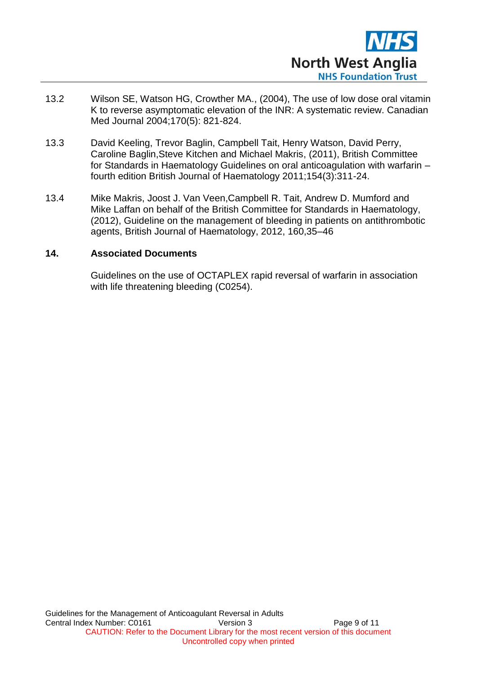

- 13.2 Wilson SE, Watson HG, Crowther MA., (2004), The use of low dose oral vitamin K to reverse asymptomatic elevation of the INR: A systematic review. Canadian Med Journal 2004;170(5): 821-824.
- 13.3 David Keeling, Trevor Baglin, Campbell Tait, Henry Watson, David Perry, Caroline Baglin,Steve Kitchen and Michael Makris, (2011), British Committee for Standards in Haematology Guidelines on oral anticoagulation with warfarin – fourth edition British Journal of Haematology 2011;154(3):311-24.
- 13.4 Mike Makris, Joost J. Van Veen,Campbell R. Tait, Andrew D. Mumford and Mike Laffan on behalf of the British Committee for Standards in Haematology, (2012), Guideline on the management of bleeding in patients on antithrombotic agents, British Journal of Haematology, 2012, 160,35–46

#### **14. Associated Documents**

Guidelines on the use of OCTAPLEX rapid reversal of warfarin in association with life threatening bleeding (C0254).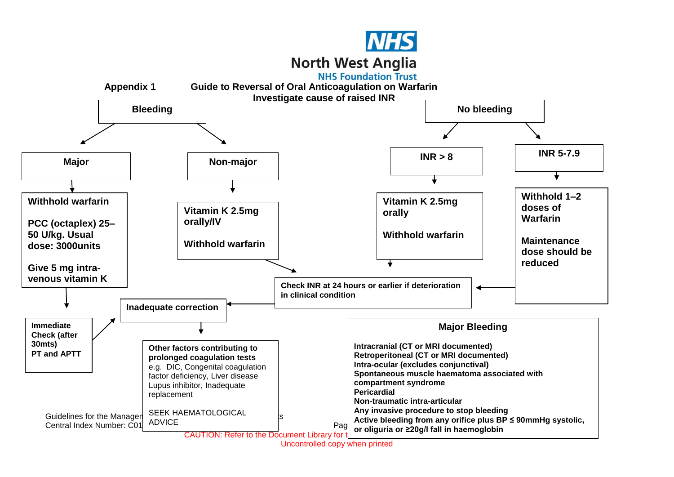

# **North West Anglia**

**NHS Foundation Trust** 



Uncontrolled copy when printed